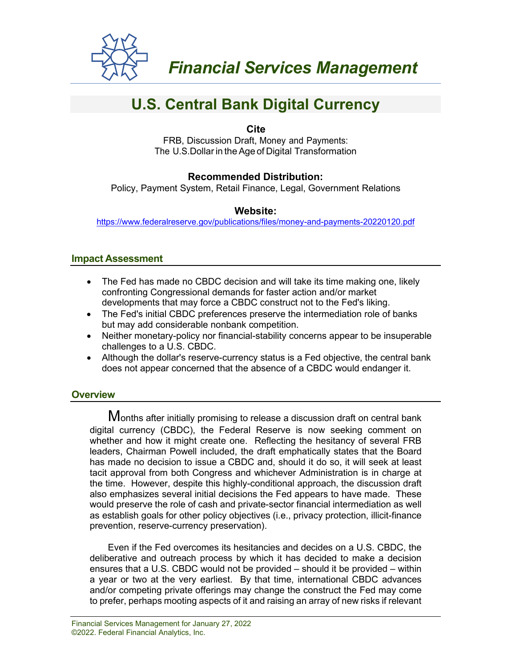

# **U.S. Central Bank Digital Currency**

**Cite**

FRB, Discussion Draft, Money and Payments: The U.S.Dollar in the Age of Digital Transformation

## **Recommended Distribution:**

Policy, Payment System, Retail Finance, Legal, Government Relations

#### **Website:**

<https://www.federalreserve.gov/publications/files/money-and-payments-20220120.pdf>

#### **Impact Assessment**

- The Fed has made no CBDC decision and will take its time making one, likely confronting Congressional demands for faster action and/or market developments that may force a CBDC construct not to the Fed's liking.
- The Fed's initial CBDC preferences preserve the intermediation role of banks but may add considerable nonbank competition.
- Neither monetary-policy nor financial-stability concerns appear to be insuperable challenges to a U.S. CBDC.
- Although the dollar's reserve-currency status is a Fed objective, the central bank does not appear concerned that the absence of a CBDC would endanger it.

## **Overview**

Months after initially promising to release a discussion draft on central bank digital currency (CBDC), the Federal Reserve is now seeking comment on whether and how it might create one. Reflecting the hesitancy of several FRB leaders, Chairman Powell included, the draft emphatically states that the Board has made no decision to issue a CBDC and, should it do so, it will seek at least tacit approval from both Congress and whichever Administration is in charge at the time. However, despite this highly-conditional approach, the discussion draft also emphasizes several initial decisions the Fed appears to have made. These would preserve the role of cash and private-sector financial intermediation as well as establish goals for other policy objectives (i.e., privacy protection, illicit-finance prevention, reserve-currency preservation).

Even if the Fed overcomes its hesitancies and decides on a U.S. CBDC, the deliberative and outreach process by which it has decided to make a decision ensures that a U.S. CBDC would not be provided – should it be provided – within a year or two at the very earliest. By that time, international CBDC advances and/or competing private offerings may change the construct the Fed may come to prefer, perhaps mooting aspects of it and raising an array of new risks if relevant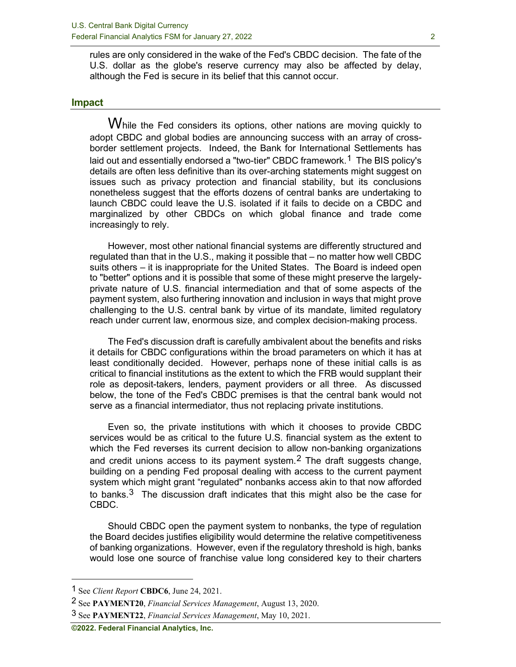rules are only considered in the wake of the Fed's CBDC decision. The fate of the U.S. dollar as the globe's reserve currency may also be affected by delay, although the Fed is secure in its belief that this cannot occur.

#### **Impact**

While the Fed considers its options, other nations are moving quickly to adopt CBDC and global bodies are announcing success with an array of crossborder settlement projects. Indeed, the Bank for International Settlements has laid out and essentially endorsed a "two-tier" CBDC framework.[1](#page-1-0) The BIS policy's details are often less definitive than its over-arching statements might suggest on issues such as privacy protection and financial stability, but its conclusions nonetheless suggest that the efforts dozens of central banks are undertaking to launch CBDC could leave the U.S. isolated if it fails to decide on a CBDC and marginalized by other CBDCs on which global finance and trade come increasingly to rely.

However, most other national financial systems are differently structured and regulated than that in the U.S., making it possible that – no matter how well CBDC suits others – it is inappropriate for the United States. The Board is indeed open to "better" options and it is possible that some of these might preserve the largelyprivate nature of U.S. financial intermediation and that of some aspects of the payment system, also furthering innovation and inclusion in ways that might prove challenging to the U.S. central bank by virtue of its mandate, limited regulatory reach under current law, enormous size, and complex decision-making process.

The Fed's discussion draft is carefully ambivalent about the benefits and risks it details for CBDC configurations within the broad parameters on which it has at least conditionally decided. However, perhaps none of these initial calls is as critical to financial institutions as the extent to which the FRB would supplant their role as deposit-takers, lenders, payment providers or all three. As discussed below, the tone of the Fed's CBDC premises is that the central bank would not serve as a financial intermediator, thus not replacing private institutions.

Even so, the private institutions with which it chooses to provide CBDC services would be as critical to the future U.S. financial system as the extent to which the Fed reverses its current decision to allow non-banking organizations and credit unions access to its payment system.<sup>[2](#page-1-1)</sup> The draft suggests change, building on a pending Fed proposal dealing with access to the current payment system which might grant "regulated" nonbanks access akin to that now afforded to banks. $3$  The discussion draft indicates that this might also be the case for CBDC.

Should CBDC open the payment system to nonbanks, the type of regulation the Board decides justifies eligibility would determine the relative competitiveness of banking organizations. However, even if the regulatory threshold is high, banks would lose one source of franchise value long considered key to their charters

<span id="page-1-0"></span><sup>1</sup> See *Client Report* **CBDC6**, June 24, 2021.

<span id="page-1-1"></span><sup>2</sup> See **PAYMENT20**, *Financial Services Management*, August 13, 2020.

<span id="page-1-2"></span><sup>3</sup> See **PAYMENT22**, *Financial Services Management*, May 10, 2021.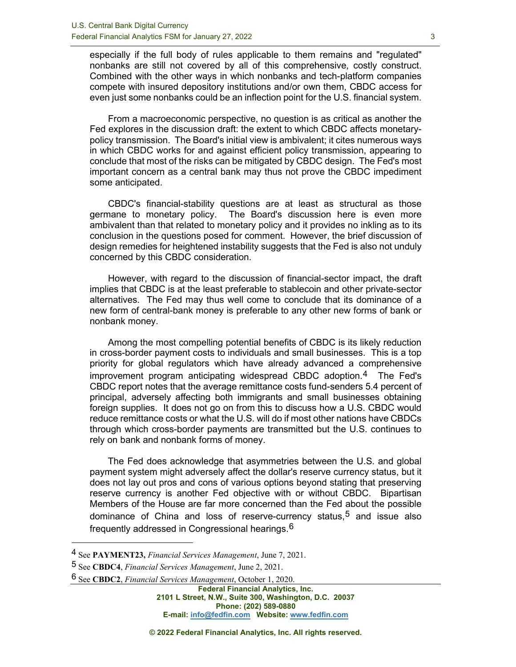especially if the full body of rules applicable to them remains and "regulated" nonbanks are still not covered by all of this comprehensive, costly construct. Combined with the other ways in which nonbanks and tech-platform companies compete with insured depository institutions and/or own them, CBDC access for even just some nonbanks could be an inflection point for the U.S. financial system.

From a macroeconomic perspective, no question is as critical as another the Fed explores in the discussion draft: the extent to which CBDC affects monetarypolicy transmission. The Board's initial view is ambivalent; it cites numerous ways in which CBDC works for and against efficient policy transmission, appearing to conclude that most of the risks can be mitigated by CBDC design. The Fed's most important concern as a central bank may thus not prove the CBDC impediment some anticipated.

CBDC's financial-stability questions are at least as structural as those germane to monetary policy. The Board's discussion here is even more ambivalent than that related to monetary policy and it provides no inkling as to its conclusion in the questions posed for comment. However, the brief discussion of design remedies for heightened instability suggests that the Fed is also not unduly concerned by this CBDC consideration.

However, with regard to the discussion of financial-sector impact, the draft implies that CBDC is at the least preferable to stablecoin and other private-sector alternatives. The Fed may thus well come to conclude that its dominance of a new form of central-bank money is preferable to any other new forms of bank or nonbank money.

Among the most compelling potential benefits of CBDC is its likely reduction in cross-border payment costs to individuals and small businesses. This is a top priority for global regulators which have already advanced a comprehensive improvement program anticipating widespread CBDC adoption.[4](#page-2-0) The Fed's CBDC report notes that the average remittance costs fund-senders 5.4 percent of principal, adversely affecting both immigrants and small businesses obtaining foreign supplies. It does not go on from this to discuss how a U.S. CBDC would reduce remittance costs or what the U.S. will do if most other nations have CBDCs through which cross-border payments are transmitted but the U.S. continues to rely on bank and nonbank forms of money.

The Fed does acknowledge that asymmetries between the U.S. and global payment system might adversely affect the dollar's reserve currency status, but it does not lay out pros and cons of various options beyond stating that preserving reserve currency is another Fed objective with or without CBDC. Bipartisan Members of the House are far more concerned than the Fed about the possible dominance of China and loss of reserve-currency status,  $5$  and issue also frequently addressed in Congressional hearings.[6](#page-2-2)

**Federal Financial Analytics, Inc. 2101 L Street, N.W., Suite 300, Washington, D.C. 20037 Phone: (202) 589-0880 E-mail: [info@fedfin.com](mailto:info@fedfin.com) Website[: www.fedfin.com](http://www.fedfin.com/)**

<span id="page-2-0"></span><sup>4</sup> See **PAYMENT23,** *Financial Services Management*, June 7, 2021.

<span id="page-2-2"></span><span id="page-2-1"></span><sup>5</sup> See **CBDC4**, *Financial Services Management*, June 2, 2021.

<sup>6</sup> See **CBDC2**, *Financial Services Management*, October 1, 2020.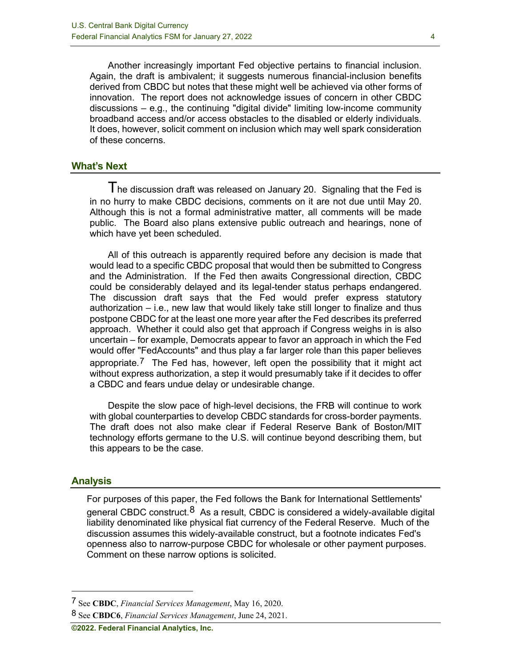Another increasingly important Fed objective pertains to financial inclusion. Again, the draft is ambivalent; it suggests numerous financial-inclusion benefits derived from CBDC but notes that these might well be achieved via other forms of innovation. The report does not acknowledge issues of concern in other CBDC discussions – e.g., the continuing "digital divide" limiting low-income community broadband access and/or access obstacles to the disabled or elderly individuals. It does, however, solicit comment on inclusion which may well spark consideration of these concerns.

#### **What's Next**

 $T$ he discussion draft was released on January 20. Signaling that the Fed is in no hurry to make CBDC decisions, comments on it are not due until May 20. Although this is not a formal administrative matter, all comments will be made public. The Board also plans extensive public outreach and hearings, none of which have yet been scheduled.

All of this outreach is apparently required before any decision is made that would lead to a specific CBDC proposal that would then be submitted to Congress and the Administration. If the Fed then awaits Congressional direction, CBDC could be considerably delayed and its legal-tender status perhaps endangered. The discussion draft says that the Fed would prefer express statutory authorization – i.e., new law that would likely take still longer to finalize and thus postpone CBDC for at the least one more year after the Fed describes its preferred approach. Whether it could also get that approach if Congress weighs in is also uncertain – for example, Democrats appear to favor an approach in which the Fed would offer "FedAccounts" and thus play a far larger role than this paper believes appropriate.<sup>[7](#page-3-0)</sup> The Fed has, however, left open the possibility that it might act without express authorization, a step it would presumably take if it decides to offer a CBDC and fears undue delay or undesirable change.

Despite the slow pace of high-level decisions, the FRB will continue to work with global counterparties to develop CBDC standards for cross-border payments. The draft does not also make clear if Federal Reserve Bank of Boston/MIT technology efforts germane to the U.S. will continue beyond describing them, but this appears to be the case.

#### **Analysis**

For purposes of this paper, the Fed follows the Bank for International Settlements' general CBDC construct.<sup>[8](#page-3-1)</sup> As a result, CBDC is considered a widely-available digital liability denominated like physical fiat currency of the Federal Reserve. Much of the discussion assumes this widely-available construct, but a footnote indicates Fed's openness also to narrow-purpose CBDC for wholesale or other payment purposes. Comment on these narrow options is solicited.

<span id="page-3-0"></span><sup>7</sup> See **CBDC**, *Financial Services Management*, May 16, 2020.

<span id="page-3-1"></span><sup>8</sup> See **CBDC6**, *Financial Services Management*, June 24, 2021.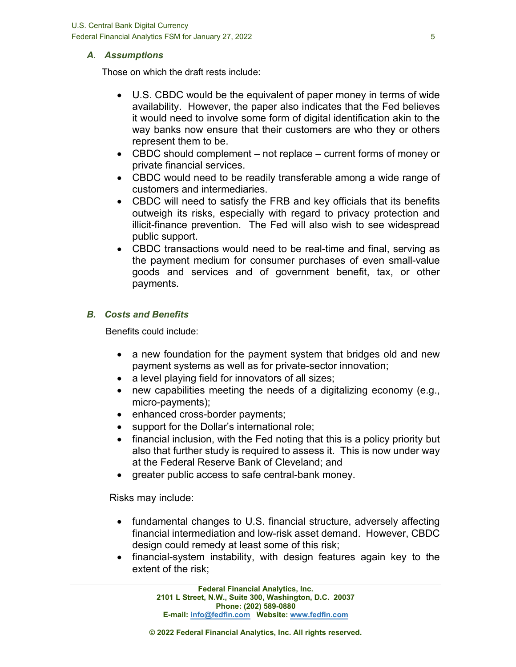### *A. Assumptions*

Those on which the draft rests include:

- U.S. CBDC would be the equivalent of paper money in terms of wide availability. However, the paper also indicates that the Fed believes it would need to involve some form of digital identification akin to the way banks now ensure that their customers are who they or others represent them to be.
- CBDC should complement not replace current forms of money or private financial services.
- CBDC would need to be readily transferable among a wide range of customers and intermediaries.
- CBDC will need to satisfy the FRB and key officials that its benefits outweigh its risks, especially with regard to privacy protection and illicit-finance prevention. The Fed will also wish to see widespread public support.
- CBDC transactions would need to be real-time and final, serving as the payment medium for consumer purchases of even small-value goods and services and of government benefit, tax, or other payments.

## *B. Costs and Benefits*

Benefits could include:

- a new foundation for the payment system that bridges old and new payment systems as well as for private-sector innovation;
- a level playing field for innovators of all sizes;
- new capabilities meeting the needs of a digitalizing economy (e.g., micro-payments);
- enhanced cross-border payments;
- support for the Dollar's international role;
- financial inclusion, with the Fed noting that this is a policy priority but also that further study is required to assess it. This is now under way at the Federal Reserve Bank of Cleveland; and
- greater public access to safe central-bank money.

Risks may include:

- fundamental changes to U.S. financial structure, adversely affecting financial intermediation and low-risk asset demand. However, CBDC design could remedy at least some of this risk;
- financial-system instability, with design features again key to the extent of the risk;

**Federal Financial Analytics, Inc. 2101 L Street, N.W., Suite 300, Washington, D.C. 20037 Phone: (202) 589-0880 E-mail: [info@fedfin.com](mailto:info@fedfin.com) Website[: www.fedfin.com](http://www.fedfin.com/)**